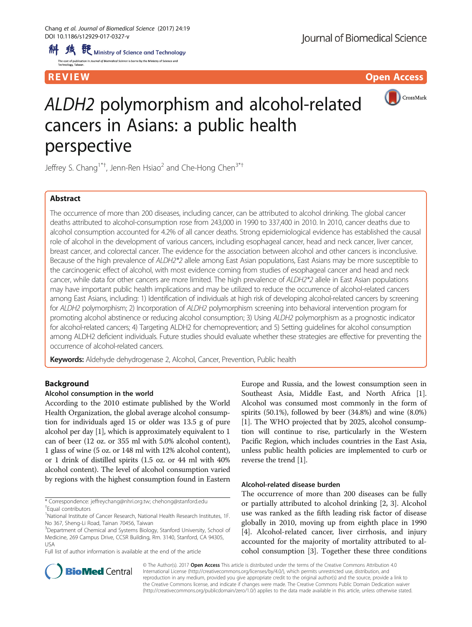R EVI EW Open Access and the contract of the contract of the contract of the contract of the contract of the c



# ALDH2 polymorphism and alcohol-related cancers in Asians: a public health perspective

Jeffrey S. Chang<sup>1\*†</sup>, Jenn-Ren Hsiao<sup>2</sup> and Che-Hong Chen<sup>3\*†</sup>

# Abstract

The occurrence of more than 200 diseases, including cancer, can be attributed to alcohol drinking. The global cancer deaths attributed to alcohol-consumption rose from 243,000 in 1990 to 337,400 in 2010. In 2010, cancer deaths due to alcohol consumption accounted for 4.2% of all cancer deaths. Strong epidemiological evidence has established the causal role of alcohol in the development of various cancers, including esophageal cancer, head and neck cancer, liver cancer, breast cancer, and colorectal cancer. The evidence for the association between alcohol and other cancers is inconclusive. Because of the high prevalence of ALDH2\*2 allele among East Asian populations, East Asians may be more susceptible to the carcinogenic effect of alcohol, with most evidence coming from studies of esophageal cancer and head and neck cancer, while data for other cancers are more limited. The high prevalence of ALDH2\*2 allele in East Asian populations may have important public health implications and may be utilized to reduce the occurrence of alcohol-related cancers among East Asians, including: 1) Identification of individuals at high risk of developing alcohol-related cancers by screening for ALDH2 polymorphism; 2) Incorporation of ALDH2 polymorphism screening into behavioral intervention program for promoting alcohol abstinence or reducing alcohol consumption; 3) Using ALDH2 polymorphism as a prognostic indicator for alcohol-related cancers; 4) Targeting ALDH2 for chemoprevention; and 5) Setting guidelines for alcohol consumption among ALDH2 deficient individuals. Future studies should evaluate whether these strategies are effective for preventing the occurrence of alcohol-related cancers.

Keywords: Aldehyde dehydrogenase 2, Alcohol, Cancer, Prevention, Public health

# Background

## Alcohol consumption in the world

According to the 2010 estimate published by the World Health Organization, the global average alcohol consumption for individuals aged 15 or older was 13.5 g of pure alcohol per day [\[1](#page-7-0)], which is approximately equivalent to 1 can of beer (12 oz. or 355 ml with 5.0% alcohol content), 1 glass of wine (5 oz. or 148 ml with 12% alcohol content), or 1 drink of distilled spirits (1.5 oz. or 44 ml with 40% alcohol content). The level of alcohol consumption varied by regions with the highest consumption found in Eastern

\* Correspondence: [jeffreychang@nhri.org.tw;](mailto:jeffreychang@nhri.org.tw) [chehong@stanford.edu](mailto:chehong@stanford.edu) † Equal contributors

<sup>1</sup>National Institute of Cancer Research, National Health Research Institutes, 1F. No 367, Sheng-Li Road, Tainan 70456, Taiwan

Full list of author information is available at the end of the article

Europe and Russia, and the lowest consumption seen in Southeast Asia, Middle East, and North Africa [[1](#page-7-0)]. Alcohol was consumed most commonly in the form of spirits (50.1%), followed by beer (34.8%) and wine (8.0%) [[1\]](#page-7-0). The WHO projected that by 2025, alcohol consumption will continue to rise, particularly in the Western Pacific Region, which includes countries in the East Asia, unless public health policies are implemented to curb or reverse the trend [\[1\]](#page-7-0).

# Alcohol-related disease burden

The occurrence of more than 200 diseases can be fully or partially attributed to alcohol drinking [\[2](#page-7-0), [3\]](#page-7-0). Alcohol use was ranked as the fifth leading risk factor of disease globally in 2010, moving up from eighth place in 1990 [[4\]](#page-7-0). Alcohol-related cancer, liver cirrhosis, and injury accounted for the majority of mortality attributed to alcohol consumption [\[3](#page-7-0)]. Together these three conditions



© The Author(s). 2017 Open Access This article is distributed under the terms of the Creative Commons Attribution 4.0 International License [\(http://creativecommons.org/licenses/by/4.0/](http://creativecommons.org/licenses/by/4.0/)), which permits unrestricted use, distribution, and reproduction in any medium, provided you give appropriate credit to the original author(s) and the source, provide a link to the Creative Commons license, and indicate if changes were made. The Creative Commons Public Domain Dedication waiver [\(http://creativecommons.org/publicdomain/zero/1.0/](http://creativecommons.org/publicdomain/zero/1.0/)) applies to the data made available in this article, unless otherwise stated.

<sup>&</sup>lt;sup>3</sup>Department of Chemical and Systems Biology, Stanford University, School of Medicine, 269 Campus Drive, CCSR Building, Rm. 3140, Stanford, CA 94305, USA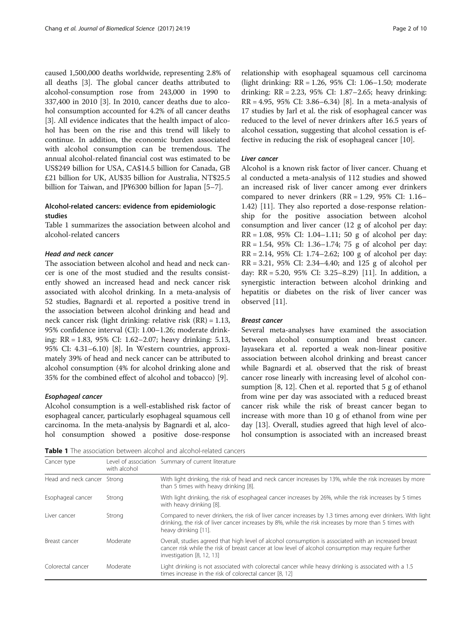caused 1,500,000 deaths worldwide, representing 2.8% of all deaths [\[3](#page-7-0)]. The global cancer deaths attributed to alcohol-consumption rose from 243,000 in 1990 to 337,400 in 2010 [\[3](#page-7-0)]. In 2010, cancer deaths due to alcohol consumption accounted for 4.2% of all cancer deaths [[3\]](#page-7-0). All evidence indicates that the health impact of alcohol has been on the rise and this trend will likely to continue. In addition, the economic burden associated with alcohol consumption can be tremendous. The annual alcohol-related financial cost was estimated to be US\$249 billion for USA, CA\$14.5 billion for Canada, GB £21 billion for UK, AU\$35 billion for Australia, NT\$25.5 billion for Taiwan, and JP¥6300 billion for Japan [\[5](#page-7-0)–[7](#page-7-0)].

## Alcohol-related cancers: evidence from epidemiologic studies

Table 1 summarizes the association between alcohol and alcohol-related cancers

## Head and neck cancer

The association between alcohol and head and neck cancer is one of the most studied and the results consistently showed an increased head and neck cancer risk associated with alcohol drinking. In a meta-analysis of 52 studies, Bagnardi et al. reported a positive trend in the association between alcohol drinking and head and neck cancer risk (light drinking: relative risk (RR) = 1.13, 95% confidence interval (CI): 1.00–1.26; moderate drinking: RR = 1.83, 95% CI: 1.62–2.07; heavy drinking: 5.13, 95% CI: 4.31–6.10) [[8](#page-7-0)]. In Western countries, approximately 39% of head and neck cancer can be attributed to alcohol consumption (4% for alcohol drinking alone and 35% for the combined effect of alcohol and tobacco) [[9](#page-7-0)].

#### Esophageal cancer

Alcohol consumption is a well-established risk factor of esophageal cancer, particularly esophageal squamous cell carcinoma. In the meta-analysis by Bagnardi et al, alcohol consumption showed a positive dose-response

relationship with esophageal squamous cell carcinoma (light drinking: RR = 1.26, 95% CI: 1.06–1.50; moderate drinking: RR = 2.23, 95% CI: 1.87–2.65; heavy drinking:  $RR = 4.95$ , 95% CI: 3.86–6.34) [\[8](#page-7-0)]. In a meta-analysis of 17 studies by Jarl et al. the risk of esophageal cancer was reduced to the level of never drinkers after 16.5 years of alcohol cessation, suggesting that alcohol cessation is effective in reducing the risk of esophageal cancer [\[10](#page-7-0)].

## Liver cancer

Alcohol is a known risk factor of liver cancer. Chuang et al conducted a meta-analysis of 112 studies and showed an increased risk of liver cancer among ever drinkers compared to never drinkers  $(RR = 1.29, 95\% \text{ CI: } 1.16 -$ 1.42) [[11\]](#page-7-0). They also reported a dose-response relationship for the positive association between alcohol consumption and liver cancer (12 g of alcohol per day:  $RR = 1.08$ , 95% CI: 1.04–1.11; 50 g of alcohol per day: RR = 1.54, 95% CI: 1.36–1.74; 75 g of alcohol per day: RR = 2.14, 95% CI: 1.74–2.62; 100 g of alcohol per day: RR = 3.21, 95% CI: 2.34–4.40; and 125 g of alcohol per day: RR = 5.20, 95% CI: 3.25–8.29) [\[11](#page-7-0)]. In addition, a synergistic interaction between alcohol drinking and hepatitis or diabetes on the risk of liver cancer was observed [\[11](#page-7-0)].

## Breast cancer

Several meta-analyses have examined the association between alcohol consumption and breast cancer. Jayasekara et al. reported a weak non-linear positive association between alcohol drinking and breast cancer while Bagnardi et al. observed that the risk of breast cancer rose linearly with increasing level of alcohol consumption [[8, 12](#page-7-0)]. Chen et al. reported that 5 g of ethanol from wine per day was associated with a reduced breast cancer risk while the risk of breast cancer began to increase with more than 10 g of ethanol from wine per day [[13\]](#page-7-0). Overall, studies agreed that high level of alcohol consumption is associated with an increased breast

Table 1 The association between alcohol and alcohol-related cancers

| Cancer type                 | with alcohol | Level of association Summary of current literature                                                                                                                                                                                            |
|-----------------------------|--------------|-----------------------------------------------------------------------------------------------------------------------------------------------------------------------------------------------------------------------------------------------|
| Head and neck cancer Strong |              | With light drinking, the risk of head and neck cancer increases by 13%, while the risk increases by more<br>than 5 times with heavy drinking [8].                                                                                             |
| Esophageal cancer           | Strong       | With light drinking, the risk of esophageal cancer increases by 26%, while the risk increases by 5 times<br>with heavy drinking [8].                                                                                                          |
| Liver cancer                | Strong       | Compared to never drinkers, the risk of liver cancer increases by 1.3 times among ever drinkers. With light<br>drinking, the risk of liver cancer increases by 8%, while the risk increases by more than 5 times with<br>heavy drinking [11]. |
| Breast cancer               | Moderate     | Overall, studies agreed that high level of alcohol consumption is associated with an increased breast<br>cancer risk while the risk of breast cancer at low level of alcohol consumption may require further<br>investigation [8, 12, 13]     |
| Colorectal cancer           | Moderate     | Light drinking is not associated with colorectal cancer while heavy drinking is associated with a 1.5<br>times increase in the risk of colorectal cancer [8, 12]                                                                              |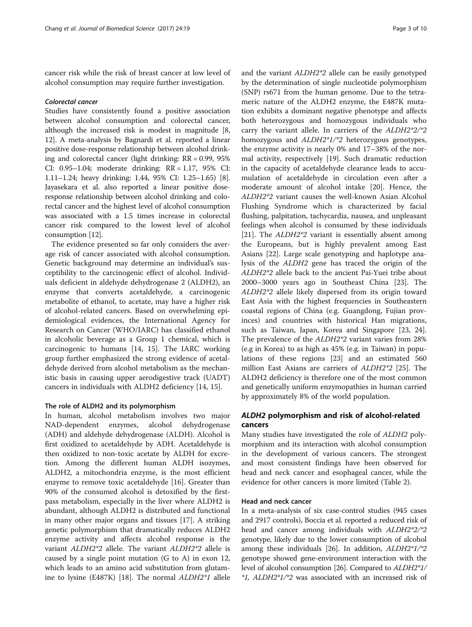cancer risk while the risk of breast cancer at low level of alcohol consumption may require further investigation.

#### Colorectal cancer

Studies have consistently found a positive association between alcohol consumption and colorectal cancer, although the increased risk is modest in magnitude [[8](#page-7-0), [12](#page-7-0)]. A meta-analysis by Bagnardi et al. reported a linear positive dose-response relationship between alcohol drinking and colorectal cancer (light drinking: RR = 0.99, 95% CI: 0.95–1.04; moderate drinking: RR = 1.17, 95% CI: 1.11–1.24; heavy drinking: 1.44, 95% CI: 1.25–1.65) [[8](#page-7-0)]. Jayasekara et al. also reported a linear positive doseresponse relationship between alcohol drinking and colorectal cancer and the highest level of alcohol consumption was associated with a 1.5 times increase in colorectal cancer risk compared to the lowest level of alcohol consumption [\[12\]](#page-7-0).

The evidence presented so far only considers the average risk of cancer associated with alcohol consumption. Genetic background may determine an individual's susceptibility to the carcinogenic effect of alcohol. Individuals deficient in aldehyde dehydrogenase 2 (ALDH2), an enzyme that converts acetaldehyde, a carcinogenic metabolite of ethanol, to acetate, may have a higher risk of alcohol-related cancers. Based on overwhelming epidemiological evidences, the International Agency for Research on Cancer (WHO/IARC) has classified ethanol in alcoholic beverage as a Group 1 chemical, which is carcinogenic to humans [[14, 15](#page-7-0)]. The IARC working group further emphasized the strong evidence of acetaldehyde derived from alcohol metabolism as the mechanistic basis in causing upper aerodigestive track (UADT) cancers in individuals with ALDH2 deficiency [[14](#page-7-0), [15](#page-7-0)].

# The role of ALDH2 and its polymorphism

In human, alcohol metabolism involves two major NAD-dependent enzymes, alcohol dehydrogenase (ADH) and aldehyde dehydrogenase (ALDH). Alcohol is first oxidized to acetaldehyde by ADH. Acetaldehyde is then oxidized to non-toxic acetate by ALDH for excretion. Among the different human ALDH isozymes, ALDH2, a mitochondria enzyme, is the most efficient enzyme to remove toxic acetaldehyde [\[16\]](#page-7-0). Greater than 90% of the consumed alcohol is detoxified by the firstpass metabolism, especially in the liver where ALDH2 is abundant, although ALDH2 is distributed and functional in many other major organs and tissues [\[17](#page-7-0)]. A striking genetic polymorphism that dramatically reduces ALDH2 enzyme activity and affects alcohol response is the variant ALDH2\*2 allele. The variant ALDH2\*2 allele is caused by a single point mutation (G to A) in exon 12, which leads to an amino acid substitution from glutamine to lysine (E487K) [\[18\]](#page-7-0). The normal ALDH2\*1 allele and the variant ALDH2\*2 allele can be easily genotyped by the determination of single nucleotide polymorphism (SNP) rs671 from the human genome. Due to the tetrameric nature of the ALDH2 enzyme, the E487K mutation exhibits a dominant negative phenotype and affects both heterozygous and homozygous individuals who carry the variant allele. In carriers of the ALDH2\*2/\*2 homozygous and ALDH2\*1/\*2 heterozygous genotypes, the enzyme activity is nearly 0% and 17–38% of the normal activity, respectively [[19\]](#page-7-0). Such dramatic reduction in the capacity of acetaldehyde clearance leads to accumulation of acetaldehyde in circulation even after a moderate amount of alcohol intake [\[20](#page-7-0)]. Hence, the ALDH2\*2 variant causes the well-known Asian Alcohol Flushing Syndrome which is characterized by facial flushing, palpitation, tachycardia, nausea, and unpleasant feelings when alcohol is consumed by these individuals [[21\]](#page-7-0). The ALDH2\*2 variant is essentially absent among the Europeans, but is highly prevalent among East Asians [[22\]](#page-7-0). Large scale genotyping and haplotype analysis of the ALDH2 gene has traced the origin of the ALDH2\*2 allele back to the ancient Pai-Yuei tribe about 2000–3000 years ago in Southeast China [[23](#page-7-0)]. The ALDH2\*2 allele likely dispersed from its origin toward East Asia with the highest frequencies in Southeastern coastal regions of China (e.g. Guangdong, Fujian provinces) and countries with historical Han migrations, such as Taiwan, Japan, Korea and Singapore [\[23](#page-7-0), [24](#page-7-0)]. The prevalence of the ALDH2\*2 variant varies from 28% (e.g in Korea) to as high as 45% (e.g. in Taiwan) in populations of these regions [\[23\]](#page-7-0) and an estimated 560 million East Asians are carriers of ALDH2\*2 [[25\]](#page-7-0). The ALDH2 deficiency is therefore one of the most common and genetically uniform enzymopathies in human carried by approximately 8% of the world population.

# ALDH2 polymorphism and risk of alcohol-related cancers

Many studies have investigated the role of ALDH2 polymorphism and its interaction with alcohol consumption in the development of various cancers. The strongest and most consistent findings have been observed for head and neck cancer and esophageal cancer, while the evidence for other cancers is more limited (Table [2](#page-3-0)).

## Head and neck cancer

In a meta-analysis of six case-control studies (945 cases and 2917 controls), Boccia et al. reported a reduced risk of head and cancer among individuals with ALDH2\*2/\*2 genotype, likely due to the lower consumption of alcohol among these individuals [\[26\]](#page-7-0). In addition, ALDH2\*1/\*2 genotype showed gene-environment interaction with the level of alcohol consumption [\[26\]](#page-7-0). Compared to ALDH2\*1/ \*1, ALDH2\*1/\*2 was associated with an increased risk of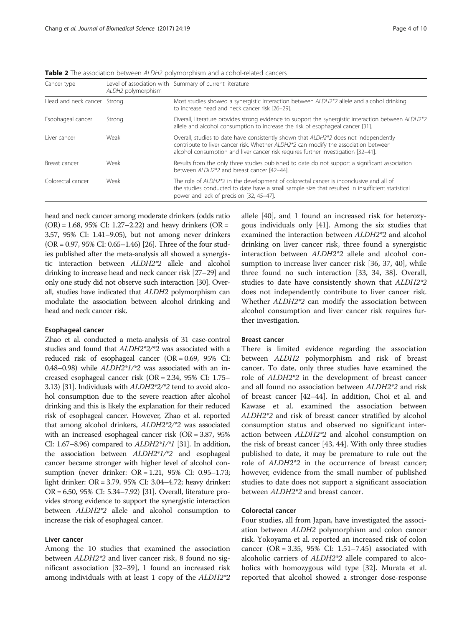| Cancer type                 | ALDH2 polymorphism | Level of association with Summary of current literature                                                                                                                                                                                                                       |
|-----------------------------|--------------------|-------------------------------------------------------------------------------------------------------------------------------------------------------------------------------------------------------------------------------------------------------------------------------|
| Head and neck cancer Strong |                    | Most studies showed a synergistic interaction between ALDH2*2 allele and alcohol drinking<br>to increase head and neck cancer risk [26-29].                                                                                                                                   |
| Esophageal cancer           | Strong             | Overall, literature provides strong evidence to support the synergistic interaction between ALDH2*2<br>allele and alcohol consumption to increase the risk of esophageal cancer [31].                                                                                         |
| Liver cancer                | Weak               | Overall, studies to date have consistently shown that ALDH2 <sup>*</sup> 2 does not independently<br>contribute to liver cancer risk. Whether ALDH2*2 can modify the association between<br>alcohol consumption and liver cancer risk requires further investigation [32-41]. |
| Breast cancer               | Weak               | Results from the only three studies published to date do not support a significant association<br>between ALDH2*2 and breast cancer [42-44].                                                                                                                                  |
| Colorectal cancer           | Weak               | The role of ALDH2*2 in the development of colorectal cancer is inconclusive and all of<br>the studies conducted to date have a small sample size that resulted in insufficient statistical<br>power and lack of precision [32, 45-47].                                        |

<span id="page-3-0"></span>Table 2 The association between ALDH2 polymorphism and alcohol-related cancers

head and neck cancer among moderate drinkers (odds ratio  $(OR) = 1.68, 95\% \text{ CI: } 1.27 - 2.22$  and heavy drinkers  $(OR =$ 3.57, 95% CI: 1.41–9.05), but not among never drinkers (OR = 0.97, 95% CI: 0.65–1.46) [\[26](#page-7-0)]. Three of the four studies published after the meta-analysis all showed a synergistic interaction between ALDH2\*2 allele and alcohol drinking to increase head and neck cancer risk [[27](#page-7-0)–[29](#page-8-0)] and only one study did not observe such interaction [\[30\]](#page-8-0). Overall, studies have indicated that ALDH2 polymorphism can modulate the association between alcohol drinking and head and neck cancer risk.

#### Esophageal cancer

Zhao et al. conducted a meta-analysis of 31 case-control studies and found that ALDH2\*2/\*2 was associated with a reduced risk of esophageal cancer (OR = 0.69, 95% CI: 0.48–0.98) while ALDH2\*1/\*2 was associated with an increased esophageal cancer risk (OR = 2.34, 95% CI: 1.75– 3.13) [[31\]](#page-8-0). Individuals with ALDH2\*2/\*2 tend to avoid alcohol consumption due to the severe reaction after alcohol drinking and this is likely the explanation for their reduced risk of esophageal cancer. However, Zhao et al. reported that among alcohol drinkers, ALDH2\*2/\*2 was associated with an increased esophageal cancer risk (OR = 3.87, 95% CI: 1.67–8.96) compared to  $ALDH2*1/*1$  [[31\]](#page-8-0). In addition, the association between ALDH2\*1/\*2 and esophageal cancer became stronger with higher level of alcohol consumption (never drinker: OR = 1.21, 95% CI: 0.95–1.73; light drinker: OR = 3.79, 95% CI: 3.04–4.72; heavy drinker: OR = 6.50, 95% CI: 5.34–7.92) [\[31](#page-8-0)]. Overall, literature provides strong evidence to support the synergistic interaction between ALDH2\*2 allele and alcohol consumption to increase the risk of esophageal cancer.

### Liver cancer

Among the 10 studies that examined the association between ALDH2\*2 and liver cancer risk, 8 found no significant association [[32](#page-8-0)–[39](#page-8-0)], 1 found an increased risk among individuals with at least 1 copy of the ALDH2\*2 allele [[40\]](#page-8-0), and 1 found an increased risk for heterozygous individuals only [[41\]](#page-8-0). Among the six studies that examined the interaction between ALDH2\*2 and alcohol drinking on liver cancer risk, three found a synergistic interaction between ALDH2\*2 allele and alcohol consumption to increase liver cancer risk [[36](#page-8-0), [37, 40](#page-8-0)], while three found no such interaction [\[33, 34](#page-8-0), [38](#page-8-0)]. Overall, studies to date have consistently shown that ALDH2\*2 does not independently contribute to liver cancer risk. Whether ALDH2\*2 can modify the association between alcohol consumption and liver cancer risk requires further investigation.

#### Breast cancer

There is limited evidence regarding the association between ALDH2 polymorphism and risk of breast cancer. To date, only three studies have examined the role of ALDH2\*2 in the development of breast cancer and all found no association between ALDH2\*2 and risk of breast cancer [\[42](#page-8-0)–[44\]](#page-8-0). In addition, Choi et al. and Kawase et al. examined the association between ALDH2\*2 and risk of breast cancer stratified by alcohol consumption status and observed no significant interaction between ALDH2\*2 and alcohol consumption on the risk of breast cancer [[43](#page-8-0), [44](#page-8-0)]. With only three studies published to date, it may be premature to rule out the role of ALDH2\*2 in the occurrence of breast cancer; however, evidence from the small number of published studies to date does not support a significant association between ALDH2\*2 and breast cancer.

## Colorectal cancer

Four studies, all from Japan, have investigated the association between ALDH2 polymorphism and colon cancer risk. Yokoyama et al. reported an increased risk of colon cancer (OR = 3.35, 95% CI:  $1.51 - 7.45$ ) associated with alcoholic carriers of ALDH2\*2 allele compared to alcoholics with homozygous wild type [\[32\]](#page-8-0). Murata et al. reported that alcohol showed a stronger dose-response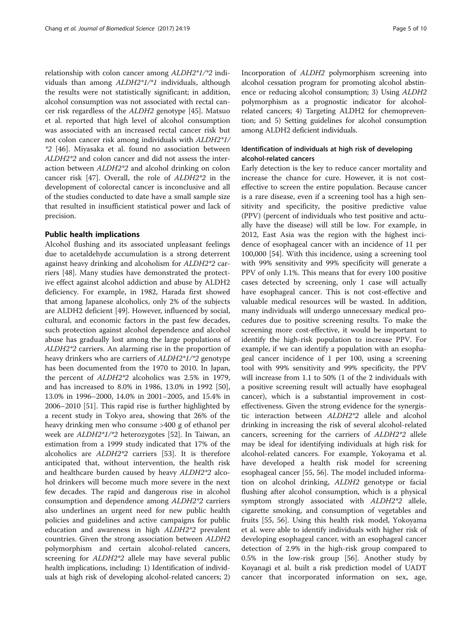relationship with colon cancer among ALDH2\*1/\*2 individuals than among ALDH2\*1/\*1 individuals, although the results were not statistically significant; in addition, alcohol consumption was not associated with rectal cancer risk regardless of the ALDH2 genotype [[45\]](#page-8-0). Matsuo et al. reported that high level of alcohol consumption was associated with an increased rectal cancer risk but not colon cancer risk among individuals with ALDH2\*1/ \*2 [\[46](#page-8-0)]. Miyasaka et al. found no association between ALDH2\*2 and colon cancer and did not assess the interaction between ALDH2\*2 and alcohol drinking on colon cancer risk [\[47](#page-8-0)]. Overall, the role of ALDH2\*2 in the development of colorectal cancer is inconclusive and all of the studies conducted to date have a small sample size that resulted in insufficient statistical power and lack of precision.

## Public health implications

Alcohol flushing and its associated unpleasant feelings due to acetaldehyde accumulation is a strong deterrent against heavy drinking and alcoholism for ALDH2\*2 carriers [[48](#page-8-0)]. Many studies have demonstrated the protective effect against alcohol addiction and abuse by ALDH2 deficiency. For example, in 1982, Harada first showed that among Japanese alcoholics, only 2% of the subjects are ALDH2 deficient [\[49](#page-8-0)]. However, influenced by social, cultural, and economic factors in the past few decades, such protection against alcohol dependence and alcohol abuse has gradually lost among the large populations of ALDH2\*2 carriers. An alarming rise in the proportion of heavy drinkers who are carriers of ALDH2\*1/\*2 genotype has been documented from the 1970 to 2010. In Japan, the percent of ALDH2\*2 alcoholics was 2.5% in 1979, and has increased to 8.0% in 1986, 13.0% in 1992 [\[50](#page-8-0)], 13.0% in 1996–2000, 14.0% in 2001–2005, and 15.4% in 2006–2010 [\[51](#page-8-0)]. This rapid rise is further highlighted by a recent study in Tokyo area, showing that 26% of the heavy drinking men who consume >400 g of ethanol per week are ALDH2\*1/\*2 heterozygotes [[52\]](#page-8-0). In Taiwan, an estimation from a 1999 study indicated that 17% of the alcoholics are ALDH2\*2 carriers [\[53\]](#page-8-0). It is therefore anticipated that, without intervention, the health risk and healthcare burden caused by heavy ALDH2\*2 alcohol drinkers will become much more severe in the next few decades. The rapid and dangerous rise in alcohol consumption and dependence among ALDH2\*2 carriers also underlines an urgent need for new public health policies and guidelines and active campaigns for public education and awareness in high ALDH2\*2 prevalent countries. Given the strong association between ALDH2 polymorphism and certain alcohol-related cancers, screening for ALDH2\*2 allele may have several public health implications, including: 1) Identification of individuals at high risk of developing alcohol-related cancers; 2) Incorporation of ALDH2 polymorphism screening into alcohol cessation program for promoting alcohol abstinence or reducing alcohol consumption; 3) Using ALDH2 polymorphism as a prognostic indicator for alcoholrelated cancers; 4) Targeting ALDH2 for chemoprevention; and 5) Setting guidelines for alcohol consumption among ALDH2 deficient individuals.

## Identification of individuals at high risk of developing alcohol-related cancers

Early detection is the key to reduce cancer mortality and increase the chance for cure. However, it is not costeffective to screen the entire population. Because cancer is a rare disease, even if a screening tool has a high sensitivity and specificity, the positive predictive value (PPV) (percent of individuals who test positive and actually have the disease) will still be low. For example, in 2012, East Asia was the region with the highest incidence of esophageal cancer with an incidence of 11 per 100,000 [[54\]](#page-8-0). With this incidence, using a screening tool with 99% sensitivity and 99% specificity will generate a PPV of only 1.1%. This means that for every 100 positive cases detected by screening, only 1 case will actually have esophageal cancer. This is not cost-effective and valuable medical resources will be wasted. In addition, many individuals will undergo unnecessary medical procedures due to positive screening results. To make the screening more cost-effective, it would be important to identify the high-risk population to increase PPV. For example, if we can identify a population with an esophageal cancer incidence of 1 per 100, using a screening tool with 99% sensitivity and 99% specificity, the PPV will increase from 1.1 to 50% (1 of the 2 individuals with a positive screening result will actually have esophageal cancer), which is a substantial improvement in costeffectiveness. Given the strong evidence for the synergistic interaction between ALDH2\*2 allele and alcohol drinking in increasing the risk of several alcohol-related cancers, screening for the carriers of ALDH2\*2 allele may be ideal for identifying individuals at high risk for alcohol-related cancers. For example, Yokoyama et al. have developed a health risk model for screening esophageal cancer [[55](#page-8-0), [56](#page-8-0)]. The model included information on alcohol drinking, ALDH2 genotype or facial flushing after alcohol consumption, which is a physical symptom strongly associated with ALDH2\*2 allele, cigarette smoking, and consumption of vegetables and fruits [[55](#page-8-0), [56\]](#page-8-0). Using this health risk model, Yokoyama et al. were able to identify individuals with higher risk of developing esophageal cancer, with an esophageal cancer detection of 2.9% in the high-risk group compared to 0.5% in the low-risk group [[56\]](#page-8-0). Another study by Koyanagi et al. built a risk prediction model of UADT cancer that incorporated information on sex, age,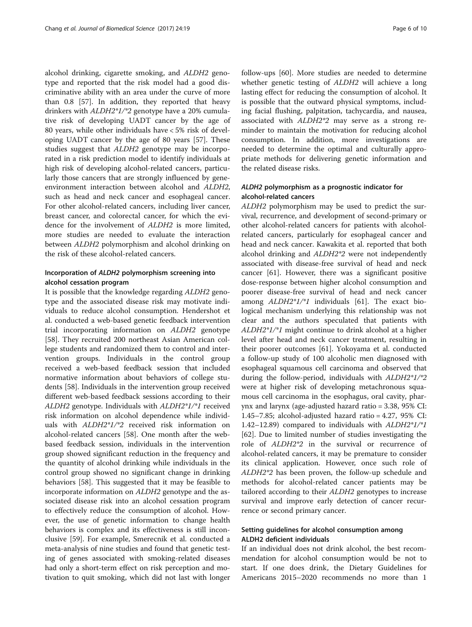alcohol drinking, cigarette smoking, and ALDH2 genotype and reported that the risk model had a good discriminative ability with an area under the curve of more than 0.8 [[57](#page-8-0)]. In addition, they reported that heavy drinkers with ALDH2\*1/\*2 genotype have a 20% cumulative risk of developing UADT cancer by the age of 80 years, while other individuals have < 5% risk of developing UADT cancer by the age of 80 years [[57\]](#page-8-0). These studies suggest that ALDH2 genotype may be incorporated in a risk prediction model to identify individuals at high risk of developing alcohol-related cancers, particularly those cancers that are strongly influenced by geneenvironment interaction between alcohol and ALDH2, such as head and neck cancer and esophageal cancer. For other alcohol-related cancers, including liver cancer, breast cancer, and colorectal cancer, for which the evidence for the involvement of ALDH2 is more limited, more studies are needed to evaluate the interaction between ALDH2 polymorphism and alcohol drinking on the risk of these alcohol-related cancers.

## Incorporation of ALDH2 polymorphism screening into alcohol cessation program

It is possible that the knowledge regarding ALDH2 genotype and the associated disease risk may motivate individuals to reduce alcohol consumption. Hendershot et al. conducted a web-based genetic feedback intervention trial incorporating information on ALDH2 genotype [[58\]](#page-8-0). They recruited 200 northeast Asian American college students and randomized them to control and intervention groups. Individuals in the control group received a web-based feedback session that included normative information about behaviors of college students [[58\]](#page-8-0). Individuals in the intervention group received different web-based feedback sessions according to their ALDH2 genotype. Individuals with ALDH2\*1/\*1 received risk information on alcohol dependence while individuals with ALDH2\*1/\*2 received risk information on alcohol-related cancers [\[58](#page-8-0)]. One month after the webbased feedback session, individuals in the intervention group showed significant reduction in the frequency and the quantity of alcohol drinking while individuals in the control group showed no significant change in drinking behaviors [\[58\]](#page-8-0). This suggested that it may be feasible to incorporate information on ALDH2 genotype and the associated disease risk into an alcohol cessation program to effectively reduce the consumption of alcohol. However, the use of genetic information to change health behaviors is complex and its effectiveness is still inconclusive [\[59](#page-8-0)]. For example, Smerecnik et al. conducted a meta-analysis of nine studies and found that genetic testing of genes associated with smoking-related diseases had only a short-term effect on risk perception and motivation to quit smoking, which did not last with longer follow-ups [\[60\]](#page-8-0). More studies are needed to determine whether genetic testing of ALDH2 will achieve a long lasting effect for reducing the consumption of alcohol. It is possible that the outward physical symptoms, including facial flushing, palpitation, tachycardia, and nausea, associated with ALDH2\*2 may serve as a strong reminder to maintain the motivation for reducing alcohol consumption. In addition, more investigations are needed to determine the optimal and culturally appropriate methods for delivering genetic information and the related disease risks.

## ALDH2 polymorphism as a prognostic indicator for alcohol-related cancers

ALDH2 polymorphism may be used to predict the survival, recurrence, and development of second-primary or other alcohol-related cancers for patients with alcoholrelated cancers, particularly for esophageal cancer and head and neck cancer. Kawakita et al. reported that both alcohol drinking and ALDH2\*2 were not independently associated with disease-free survival of head and neck cancer [[61\]](#page-8-0). However, there was a significant positive dose-response between higher alcohol consumption and poorer disease-free survival of head and neck cancer among ALDH2\*1/\*1 individuals [[61\]](#page-8-0). The exact biological mechanism underlying this relationship was not clear and the authors speculated that patients with ALDH2\*1/\*1 might continue to drink alcohol at a higher level after head and neck cancer treatment, resulting in their poorer outcomes [[61](#page-8-0)]. Yokoyama et al. conducted a follow-up study of 100 alcoholic men diagnosed with esophageal squamous cell carcinoma and observed that during the follow-period, individuals with ALDH2\*1/\*2 were at higher risk of developing metachronous squamous cell carcinoma in the esophagus, oral cavity, pharynx and larynx (age-adjusted hazard ratio = 3.38, 95% CI: 1.45–7.85; alcohol-adjusted hazard ratio = 4.27, 95% CI: 1.42–12.89) compared to individuals with ALDH2\*1/\*1 [[62\]](#page-8-0). Due to limited number of studies investigating the role of ALDH2\*2 in the survival or recurrence of alcohol-related cancers, it may be premature to consider its clinical application. However, once such role of ALDH2\*2 has been proven, the follow-up schedule and methods for alcohol-related cancer patients may be tailored according to their ALDH2 genotypes to increase survival and improve early detection of cancer recurrence or second primary cancer.

## Setting guidelines for alcohol consumption among ALDH2 deficient individuals

If an individual does not drink alcohol, the best recommendation for alcohol consumption would be not to start. If one does drink, the Dietary Guidelines for Americans 2015–2020 recommends no more than 1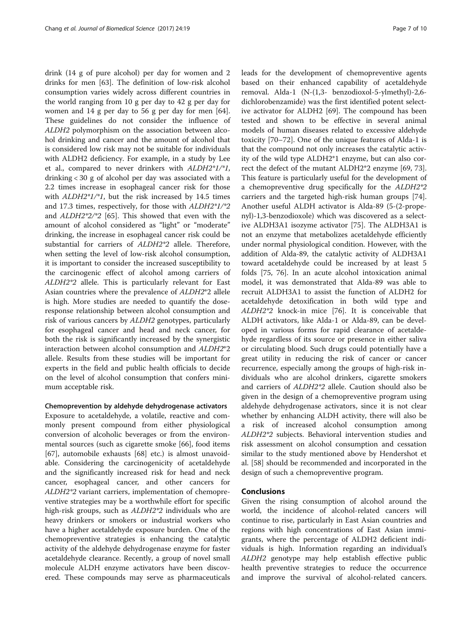drink (14 g of pure alcohol) per day for women and 2 drinks for men [\[63\]](#page-8-0). The definition of low-risk alcohol consumption varies widely across different countries in the world ranging from 10 g per day to 42 g per day for women and 14 g per day to 56 g per day for men [\[64](#page-8-0)]. These guidelines do not consider the influence of ALDH2 polymorphism on the association between alcohol drinking and cancer and the amount of alcohol that is considered low risk may not be suitable for individuals with ALDH2 deficiency. For example, in a study by Lee et al., compared to never drinkers with ALDH2\*1/\*1, drinking < 30 g of alcohol per day was associated with a 2.2 times increase in esophageal cancer risk for those with ALDH2\*1/\*1, but the risk increased by 14.5 times and 17.3 times, respectively, for those with ALDH2\*1/\*2 and ALDH2\*2/\*2 [\[65](#page-8-0)]. This showed that even with the amount of alcohol considered as "light" or "moderate" drinking, the increase in esophageal cancer risk could be substantial for carriers of ALDH2\*2 allele. Therefore, when setting the level of low-risk alcohol consumption, it is important to consider the increased susceptibility to the carcinogenic effect of alcohol among carriers of ALDH2\*2 allele. This is particularly relevant for East Asian countries where the prevalence of ALDH2\*2 allele is high. More studies are needed to quantify the doseresponse relationship between alcohol consumption and risk of various cancers by ALDH2 genotypes, particularly for esophageal cancer and head and neck cancer, for both the risk is significantly increased by the synergistic interaction between alcohol consumption and ALDH2\*2 allele. Results from these studies will be important for experts in the field and public health officials to decide on the level of alcohol consumption that confers minimum acceptable risk.

# Chemoprevention by aldehyde dehydrogenase activators

Exposure to acetaldehyde, a volatile, reactive and commonly present compound from either physiological conversion of alcoholic beverages or from the environmental sources (such as cigarette smoke [[66\]](#page-9-0), food items [[67\]](#page-9-0), automobile exhausts [[68](#page-9-0)] etc.) is almost unavoidable. Considering the carcinogenicity of acetaldehyde and the significantly increased risk for head and neck cancer, esophageal cancer, and other cancers for ALDH2\*2 variant carriers, implementation of chemopreventive strategies may be a worthwhile effort for specific high-risk groups, such as  $ALDH2*2$  individuals who are heavy drinkers or smokers or industrial workers who have a higher acetaldehyde exposure burden. One of the chemopreventive strategies is enhancing the catalytic activity of the aldehyde dehydrogenase enzyme for faster acetaldehyde clearance. Recently, a group of novel small molecule ALDH enzyme activators have been discovered. These compounds may serve as pharmaceuticals leads for the development of chemopreventive agents based on their enhanced capability of acetaldehyde removal. Alda-1 (N-(1,3- benzodioxol-5-ylmethyl)-2,6 dichlorobenzamide) was the first identified potent selective activator for ALDH2 [\[69](#page-9-0)]. The compound has been tested and shown to be effective in several animal models of human diseases related to excessive aldehyde toxicity [\[70](#page-9-0)–[72\]](#page-9-0). One of the unique features of Alda-1 is that the compound not only increases the catalytic activity of the wild type ALDH2\*1 enzyme, but can also correct the defect of the mutant ALDH2\*2 enzyme [\[69](#page-9-0), [73](#page-9-0)]. This feature is particularly useful for the development of a chemopreventive drug specifically for the ALDH2\*2 carriers and the targeted high-risk human groups [\[74](#page-9-0)]. Another useful ALDH activator is Alda-89 (5-(2-propenyl)-1,3-benzodioxole) which was discovered as a selective ALDH3A1 isozyme activator [[75\]](#page-9-0). The ALDH3A1 is not an enzyme that metabolizes acetaldehyde efficiently under normal physiological condition. However, with the addition of Alda-89, the catalytic activity of ALDH3A1 toward acetaldehyde could be increased by at least 5 folds [\[75, 76\]](#page-9-0). In an acute alcohol intoxication animal model, it was demonstrated that Alda-89 was able to recruit ALDH3A1 to assist the function of ALDH2 for acetaldehyde detoxification in both wild type and ALDH2\*2 knock-in mice [\[76\]](#page-9-0). It is conceivable that ALDH activators, like Alda-1 or Alda-89, can be developed in various forms for rapid clearance of acetaldehyde regardless of its source or presence in either saliva or circulating blood. Such drugs could potentially have a great utility in reducing the risk of cancer or cancer recurrence, especially among the groups of high-risk individuals who are alcohol drinkers, cigarette smokers and carriers of ALDH2\*2 allele. Caution should also be given in the design of a chemopreventive program using aldehyde dehydrogenase activators, since it is not clear whether by enhancing ALDH activity, there will also be a risk of increased alcohol consumption among ALDH2\*2 subjects. Behavioral intervention studies and risk assessment on alcohol consumption and cessation similar to the study mentioned above by Hendershot et al. [\[58\]](#page-8-0) should be recommended and incorporated in the design of such a chemopreventive program.

## Conclusions

Given the rising consumption of alcohol around the world, the incidence of alcohol-related cancers will continue to rise, particularly in East Asian countries and regions with high concentrations of East Asian immigrants, where the percentage of ALDH2 deficient individuals is high. Information regarding an individual's ALDH2 genotype may help establish effective public health preventive strategies to reduce the occurrence and improve the survival of alcohol-related cancers.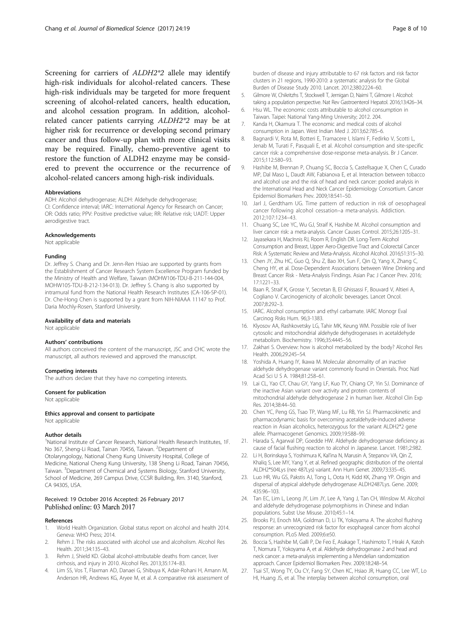<span id="page-7-0"></span>Screening for carriers of ALDH2\*2 allele may identify high-risk individuals for alcohol-related cancers. These high-risk individuals may be targeted for more frequent screening of alcohol-related cancers, health education, and alcohol cessation program. In addition, alcoholrelated cancer patients carrying ALDH2\*2 may be at higher risk for recurrence or developing second primary cancer and thus follow-up plan with more clinical visits may be required. Finally, chemo-preventive agent to restore the function of ALDH2 enzyme may be considered to prevent the occurrence or the recurrence of alcohol-related cancers among high-risk individuals.

#### Abbreviations

ADH: Alcohol dehydrogenase; ALDH: Aldehyde dehydrogenase; CI: Confidence interval; IARC: International Agency for Research on Cancer; OR: Odds ratio; PPV: Positive predictive value; RR: Relative risk; UADT: Upper aerodigestive tract.

#### Acknowledgements

Not applicable

#### Funding

Dr. Jeffrey S. Chang and Dr. Jenn-Ren Hsiao are supported by grants from the Establishment of Cancer Research System Excellence Program funded by the Ministry of Health and Welfare, Taiwan (MOHW106-TDU-B-211-144-004, MOHW105-TDU-B-212-134-013). Dr. Jeffrey S. Chang is also supported by intramural fund from the National Health Research Institutes (CA-106-SP-01). Dr. Che-Hong Chen is supported by a grant from NIH-NIAAA 11147 to Prof. Daria Mochly-Rosen, Stanford University.

#### Availability of data and materials

Not applicable

#### Authors' contributions

All authors conceived the content of the manuscript, JSC and CHC wrote the manuscript, all authors reviewed and approved the manuscript.

#### Competing interests

The authors declare that they have no competing interests.

#### Consent for publication

Not applicable

#### Ethics approval and consent to participate

Not applicable

#### Author details

<sup>1</sup>National Institute of Cancer Research, National Health Research Institutes, 1F. No 367, Sheng-Li Road, Tainan 70456, Taiwan. <sup>2</sup>Department of Otolaryngology, National Cheng Kung University Hospital, College of Medicine, National Cheng Kung University, 138 Sheng Li Road, Tainan 70456, Taiwan. <sup>3</sup> Department of Chemical and Systems Biology, Stanford University, School of Medicine, 269 Campus Drive, CCSR Building, Rm. 3140, Stanford, CA 94305, USA.

#### Received: 19 October 2016 Accepted: 26 February 2017 Published online: 03 March 2017

#### References

- 1. World Health Organization. Global status report on alcohol and health 2014. Geneva: WHO Press; 2014.
- 2. Rehm J. The risks associated with alcohol use and alcoholism. Alcohol Res Health. 2011;34:135–43.
- 3. Rehm J, Shield KD. Global alcohol-attributable deaths from cancer, liver cirrhosis, and injury in 2010. Alcohol Res. 2013;35:174–83.
- 4. Lim SS, Vos T, Flaxman AD, Danaei G, Shibuya K, Adair-Rohani H, Amann M, Anderson HR, Andrews KG, Aryee M, et al. A comparative risk assessment of

burden of disease and injury attributable to 67 risk factors and risk factor clusters in 21 regions, 1990-2010: a systematic analysis for the Global Burden of Disease Study 2010. Lancet. 2012;380:2224–60.

- 5. Gilmore W, Chikritzhs T, Stockwell T, Jernigan D, Naimi T, Gilmore I. Alcohol: taking a population perspective. Nat Rev Gastroenterol Hepatol. 2016;13:426–34.
- 6. Hsu WL. The economic costs attributable to alcohol consumption in Taiwan. Taipei: National Yang-Ming University; 2012. 204.
- 7. Kanda H, Okamura T. The economic and medical costs of alcohol consumption in Japan. West Indian Med J. 2013;62:785–6.
- 8. Bagnardi V, Rota M, Botteri E, Tramacere I, Islami F, Fedirko V, Scotti L, Jenab M, Turati F, Pasquali E, et al. Alcohol consumption and site-specific cancer risk: a comprehensive dose-response meta-analysis. Br J Cancer. 2015;112:580–93.
- 9. Hashibe M, Brennan P, Chuang SC, Boccia S, Castellsague X, Chen C, Curado MP, Dal Maso L, Daudt AW, Fabianova E, et al. Interaction between tobacco and alcohol use and the risk of head and neck cancer: pooled analysis in the International Head and Neck Cancer Epidemiology Consortium. Cancer Epidemiol Biomarkers Prev. 2009;18:541–50.
- 10. Jarl J, Gerdtham UG. Time pattern of reduction in risk of oesophageal cancer following alcohol cessation–a meta-analysis. Addiction. 2012;107:1234–43.
- 11. Chuang SC, Lee YC, Wu GJ, Straif K, Hashibe M. Alcohol consumption and liver cancer risk: a meta-analysis. Cancer Causes Control. 2015;26:1205–31.
- 12. Jayasekara H, MacInnis RJ, Room R, English DR. Long-Term Alcohol Consumption and Breast, Upper Aero-Digestive Tract and Colorectal Cancer Risk: A Systematic Review and Meta-Analysis. Alcohol Alcohol. 2016;51:315–30.
- 13. Chen JY, Zhu HC, Guo Q, Shu Z, Bao XH, Sun F, Qin Q, Yang X, Zhang C, Cheng HY, et al. Dose-Dependent Associations between Wine Drinking and Breast Cancer Risk - Meta-Analysis Findings. Asian Pac J Cancer Prev. 2016; 17:1221–33.
- 14. Baan R, Straif K, Grosse Y, Secretan B, El Ghissassi F, Bouvard V, Altieri A, Cogliano V. Carcinogenicity of alcoholic beverages. Lancet Oncol. 2007;8:292–3.
- 15. IARC. Alcohol consumption and ethyl carbamate. IARC Monogr Eval Carcinog Risks Hum. 96;3-1383.
- 16. Klyosov AA, Rashkovetsky LG, Tahir MK, Keung WM. Possible role of liver cytosolic and mitochondrial aldehyde dehydrogenases in acetaldehyde metabolism. Biochemistry. 1996;35:4445–56.
- 17. Zakhari S. Overview: how is alcohol metabolized by the body? Alcohol Res Health. 2006;29:245–54.
- 18. Yoshida A, Huang IY, Ikawa M. Molecular abnormality of an inactive aldehyde dehydrogenase variant commonly found in Orientals. Proc Natl Acad Sci U S A. 1984;81:258–61.
- 19. Lai CL, Yao CT, Chau GY, Yang LF, Kuo TY, Chiang CP, Yin SJ. Dominance of the inactive Asian variant over activity and protein contents of mitochondrial aldehyde dehydrogenase 2 in human liver. Alcohol Clin Exp Res. 2014;38:44–50.
- 20. Chen YC, Peng GS, Tsao TP, Wang MF, Lu RB, Yin SJ. Pharmacokinetic and pharmacodynamic basis for overcoming acetaldehyde-induced adverse reaction in Asian alcoholics, heterozygous for the variant ALDH2\*2 gene allele. Pharmacogenet Genomics. 2009;19:588–99.
- 21. Harada S, Agarwal DP, Goedde HW. Aldehyde dehydrogenase deficiency as cause of facial flushing reaction to alcohol in Japanese. Lancet. 1981;2:982.
- 22. Li H, Borinskaya S, Yoshimura K, Kal'ina N, Marusin A, Stepanov VA, Qin Z, Khaliq S, Lee MY, Yang Y, et al. Refined geographic distribution of the oriental ALDH2\*504Lys (nee 487Lys) variant. Ann Hum Genet. 2009;73:335–45.
- 23. Luo HR, Wu GS, Pakstis AJ, Tong L, Oota H, Kidd KK, Zhang YP. Origin and dispersal of atypical aldehyde dehydrogenase ALDH2487Lys. Gene. 2009; 435:96–103.
- 24. Tan EC, Lim L, Leong JY, Lim JY, Lee A, Yang J, Tan CH, Winslow M. Alcohol and aldehyde dehydrogenase polymorphisms in Chinese and Indian populations. Subst Use Misuse. 2010;45:1–14.
- 25. Brooks PJ, Enoch MA, Goldman D, Li TK, Yokoyama A. The alcohol flushing response: an unrecognized risk factor for esophageal cancer from alcohol consumption. PLoS Med. 2009;6:e50.
- 26. Boccia S, Hashibe M, Galli P, De Feo E, Asakage T, Hashimoto T, Hiraki A, Katoh T, Nomura T, Yokoyama A, et al. Aldehyde dehydrogenase 2 and head and neck cancer: a meta-analysis implementing a Mendelian randomization approach. Cancer Epidemiol Biomarkers Prev. 2009;18:248–54.
- 27. Tsai ST, Wong TY, Ou CY, Fang SY, Chen KC, Hsiao JR, Huang CC, Lee WT, Lo HI, Huang JS, et al. The interplay between alcohol consumption, oral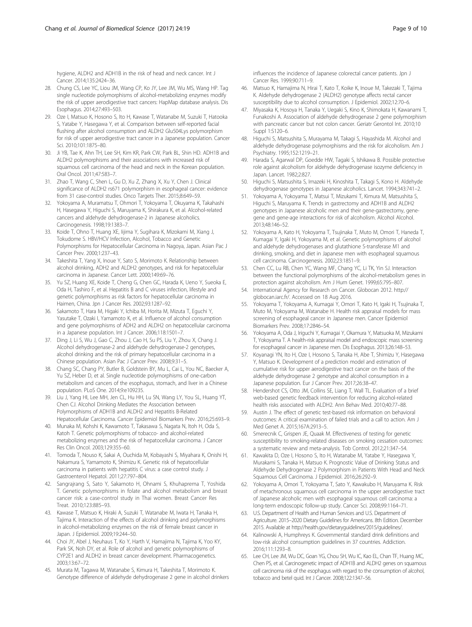<span id="page-8-0"></span>hygiene, ALDH2 and ADH1B in the risk of head and neck cancer. Int J Cancer. 2014;135:2424–36.

- 28. Chung CS, Lee YC, Liou JM, Wang CP, Ko JY, Lee JM, Wu MS, Wang HP. Tag single nucleotide polymorphisms of alcohol-metabolizing enzymes modify the risk of upper aerodigestive tract cancers: HapMap database analysis. Dis Esophagus. 2014;27:493–503.
- 29. Oze I, Matsuo K, Hosono S, Ito H, Kawase T, Watanabe M, Suzuki T, Hatooka S, Yatabe Y, Hasegawa Y, et al. Comparison between self-reported facial flushing after alcohol consumption and ALDH2 Glu504Lys polymorphism for risk of upper aerodigestive tract cancer in a Japanese population. Cancer Sci. 2010;101:1875–80.
- 30. Ji YB, Tae K, Ahn TH, Lee SH, Kim KR, Park CW, Park BL, Shin HD. ADH1B and ALDH2 polymorphisms and their associations with increased risk of squamous cell carcinoma of the head and neck in the Korean population. Oral Oncol. 2011;47:583–7.
- 31. Zhao T, Wang C, Shen L, Gu D, Xu Z, Zhang X, Xu Y, Chen J. Clinical significance of ALDH2 rs671 polymorphism in esophageal cancer: evidence from 31 case-control studies. Onco Targets Ther. 2015;8:649–59.
- 32. Yokoyama A, Muramatsu T, Ohmori T, Yokoyama T, Okuyama K, Takahashi H, Hasegawa Y, Higuchi S, Maruyama K, Shirakura K, et al. Alcohol-related cancers and aldehyde dehydrogenase-2 in Japanese alcoholics. Carcinogenesis. 1998;19:1383–7.
- 33. Koide T, Ohno T, Huang XE, Iijima Y, Sugihara K, Mizokami M, Xiang J, Tokudome S. HBV/HCV Infection, Alcohol, Tobacco and Genetic Polymorphisms for Hepatocellular Carcinoma in Nagoya, Japan. Asian Pac J Cancer Prev. 2000;1:237–43.
- 34. Takeshita T, Yang X, Inoue Y, Sato S, Morimoto K. Relationship between alcohol drinking, ADH2 and ALDH2 genotypes, and risk for hepatocellular carcinoma in Japanese. Cancer Lett. 2000;149:69–76.
- 35. Yu SZ, Huang XE, Koide T, Cheng G, Chen GC, Harada K, Ueno Y, Sueoka E, Oda H, Tashiro F, et al. Hepatitis B and C viruses infection, lifestyle and genetic polymorphisms as risk factors for hepatocellular carcinoma in Haimen, China. Jpn J Cancer Res. 2002;93:1287–92.
- 36. Sakamoto T, Hara M, Higaki Y, Ichiba M, Horita M, Mizuta T, Eguchi Y, Yasutake T, Ozaki I, Yamamoto K, et al. Influence of alcohol consumption and gene polymorphisms of ADH2 and ALDH2 on hepatocellular carcinoma in a Japanese population. Int J Cancer. 2006;118:1501–7.
- 37. Ding J, Li S, Wu J, Gao C, Zhou J, Cao H, Su PS, Liu Y, Zhou X, Chang J. Alcohol dehydrogenase-2 and aldehyde dehydrogenase-2 genotypes, alcohol drinking and the risk of primary hepatocellular carcinoma in a Chinese population. Asian Pac J Cancer Prev. 2008;9:31–5.
- 38. Chang SC, Chang PY, Butler B, Goldstein BY, Mu L, Cai L, You NC, Baecker A, Yu SZ, Heber D, et al. Single nucleotide polymorphisms of one-carbon metabolism and cancers of the esophagus, stomach, and liver in a Chinese population. PLoS One. 2014;9:e109235.
- 39. Liu J, Yang HI, Lee MH, Jen CL, Hu HH, Lu SN, Wang LY, You SL, Huang YT, Chen CJ. Alcohol Drinking Mediates the Association between Polymorphisms of ADH1B and ALDH2 and Hepatitis B-Related Hepatocellular Carcinoma. Cancer Epidemiol Biomarkers Prev. 2016;25:693–9.
- 40. Munaka M, Kohshi K, Kawamoto T, Takasawa S, Nagata N, Itoh H, Oda S, Katoh T. Genetic polymorphisms of tobacco- and alcohol-related metabolizing enzymes and the risk of hepatocellular carcinoma. J Cancer Res Clin Oncol. 2003;129:355–60.
- 41. Tomoda T, Nouso K, Sakai A, Ouchida M, Kobayashi S, Miyahara K, Onishi H, Nakamura S, Yamamoto K, Shimizu K. Genetic risk of hepatocellular carcinoma in patients with hepatitis C virus: a case control study. J Gastroenterol Hepatol. 2011;27:797–804.
- 42. Sangrajrang S, Sato Y, Sakamoto H, Ohnami S, Khuhaprema T, Yoshida T. Genetic polymorphisms in folate and alcohol metabolism and breast cancer risk: a case-control study in Thai women. Breast Cancer Res Treat. 2010;123:885–93.
- 43. Kawase T, Matsuo K, Hiraki A, Suzuki T, Watanabe M, Iwata H, Tanaka H, Tajima K. Interaction of the effects of alcohol drinking and polymorphisms in alcohol-metabolizing enzymes on the risk of female breast cancer in Japan. J Epidemiol. 2009;19:244–50.
- 44. Choi JY, Abel J, Neuhaus T, Ko Y, Harth V, Hamajima N, Tajima K, Yoo KY, Park SK, Noh DY, et al. Role of alcohol and genetic polymorphisms of CYP2E1 and ALDH2 in breast cancer development. Pharmacogenetics. 2003;13:67–72.
- 45. Murata M, Tagawa M, Watanabe S, Kimura H, Takeshita T, Morimoto K. Genotype difference of aldehyde dehydrogenase 2 gene in alcohol drinkers

influences the incidence of Japanese colorectal cancer patients. Jpn J Cancer Res. 1999;90:711–9.

- 46. Matsuo K, Hamajima N, Hirai T, Kato T, Koike K, Inoue M, Takezaki T, Tajima K. Aldehyde dehydrogenase 2 (ALDH2) genotype affects rectal cancer susceptibility due to alcohol consumption. J Epidemiol. 2002;12:70–6.
- 47. Miyasaka K, Hosoya H, Tanaka Y, Uegaki S, Kino K, Shimokata H, Kawanami T, Funakoshi A. Association of aldehyde dehydrogenase 2 gene polymorphism with pancreatic cancer but not colon cancer. Geriatr Gerontol Int. 2010;10 Suppl 1:S120–6.
- 48. Higuchi S, Matsushita S, Murayama M, Takagi S, Hayashida M. Alcohol and aldehyde dehydrogenase polymorphisms and the risk for alcoholism. Am J Psychiatry. 1995;152:1219–21.
- 49. Harada S, Agarwal DP, Goedde HW, Tagaki S, Ishikawa B. Possible protective role against alcoholism for aldehyde dehydrogenase isozyme deficiency in Japan. Lancet. 1982;2:827.
- 50. Higuchi S, Matsushita S, Imazeki H, Kinoshita T, Takagi S, Kono H. Aldehyde dehydrogenase genotypes in Japanese alcoholics. Lancet. 1994;343:741–2.
- 51. Yokoyama A, Yokoyama T, Matsui T, Mizukami T, Kimura M, Matsushita S, Higuchi S, Maruyama K. Trends in gastrectomy and ADH1B and ALDH2 genotypes in Japanese alcoholic men and their gene-gastrectomy, genegene and gene-age interactions for risk of alcoholism. Alcohol Alcohol. 2013;48:146–52.
- 52. Yokoyama A, Kato H, Yokoyama T, Tsujinaka T, Muto M, Omori T, Haneda T, Kumagai Y, Igaki H, Yokoyama M, et al. Genetic polymorphisms of alcohol and aldehyde dehydrogenases and glutathione S-transferase M1 and drinking, smoking, and diet in Japanese men with esophageal squamous cell carcinoma. Carcinogenesis. 2002;23:1851–9.
- 53. Chen CC, Lu RB, Chen YC, Wang MF, Chang YC, Li TK, Yin SJ. Interaction between the functional polymorphisms of the alcohol-metabolism genes in protection against alcoholism. Am J Hum Genet. 1999;65:795–807.
- 54. International Agency for Research on Cancer. Globocan 2012. [http://](http://globocan.iarc.fr/) [globocan.iarc.fr/](http://globocan.iarc.fr/). Accessed on 18 Aug 2016.
- 55. Yokoyama T, Yokoyama A, Kumagai Y, Omori T, Kato H, Igaki H, Tsujinaka T, Muto M, Yokoyama M, Watanabe H. Health risk appraisal models for mass screening of esophageal cancer in Japanese men. Cancer Epidemiol Biomarkers Prev. 2008;17:2846–54.
- 56. Yokoyama A, Oda J, Iriguchi Y, Kumagai Y, Okamura Y, Matsuoka M, Mizukami T, Yokoyama T. A health-risk appraisal model and endoscopic mass screening for esophageal cancer in Japanese men. Dis Esophagus. 2013;26:148–53.
- 57. Koyanagi YN, Ito H, Oze I, Hosono S, Tanaka H, Abe T, Shimizu Y, Hasegawa Y, Matsuo K. Development of a prediction model and estimation of cumulative risk for upper aerodigestive tract cancer on the basis of the aldehyde dehydrogenase 2 genotype and alcohol consumption in a Japanese population. Eur J Cancer Prev. 2017;26:38–47.
- 58. Hendershot CS, Otto JM, Collins SE, Liang T, Wall TL. Evaluation of a brief web-based genetic feedback intervention for reducing alcohol-related health risks associated with ALDH2. Ann Behav Med. 2010;40:77–88.
- 59. Austin J. The effect of genetic test-based risk information on behavioral outcomes: A critical examination of failed trials and a call to action. Am J Med Genet A. 2015;167A:2913–5.
- 60. Smerecnik C, Grispen JE, Quaak M. Effectiveness of testing for genetic susceptibility to smoking-related diseases on smoking cessation outcomes: a systematic review and meta-analysis. Tob Control. 2012;21:347–54.
- 61. Kawakita D, Oze I, Hosono S, Ito H, Watanabe M, Yatabe Y, Hasegawa Y, Murakami S, Tanaka H, Matsuo K. Prognostic Value of Drinking Status and Aldehyde Dehydrogenase 2 Polymorphism in Patients With Head and Neck Squamous Cell Carcinoma. J Epidemiol. 2016;26:292–9.
- 62. Yokoyama A, Omori T, Yokoyama T, Sato Y, Kawakubo H, Maruyama K. Risk of metachronous squamous cell carcinoma in the upper aerodigestive tract of Japanese alcoholic men with esophageal squamous cell carcinoma: a long-term endoscopic follow-up study. Cancer Sci. 2008;99:1164–71.
- 63. U.S. Department of Health and Human Services and U.S. Department of Agriculture. 2015–2020 Dietary Guidelines for Americans. 8th Edition. December 2015. Available at<http://health.gov/dietaryguidelines/2015/guidelines/>.
- 64. Kalinowski A, Humphreys K. Governmental standard drink definitions and low-risk alcohol consumption guidelines in 37 countries. Addiction. 2016;111:1293–8.
- 65. Lee CH, Lee JM, Wu DC, Goan YG, Chou SH, Wu IC, Kao EL, Chan TF, Huang MC, Chen PS, et al. Carcinogenetic impact of ADH1B and ALDH2 genes on squamous cell carcinoma risk of the esophagus with regard to the consumption of alcohol, tobacco and betel quid. Int J Cancer. 2008;122:1347–56.